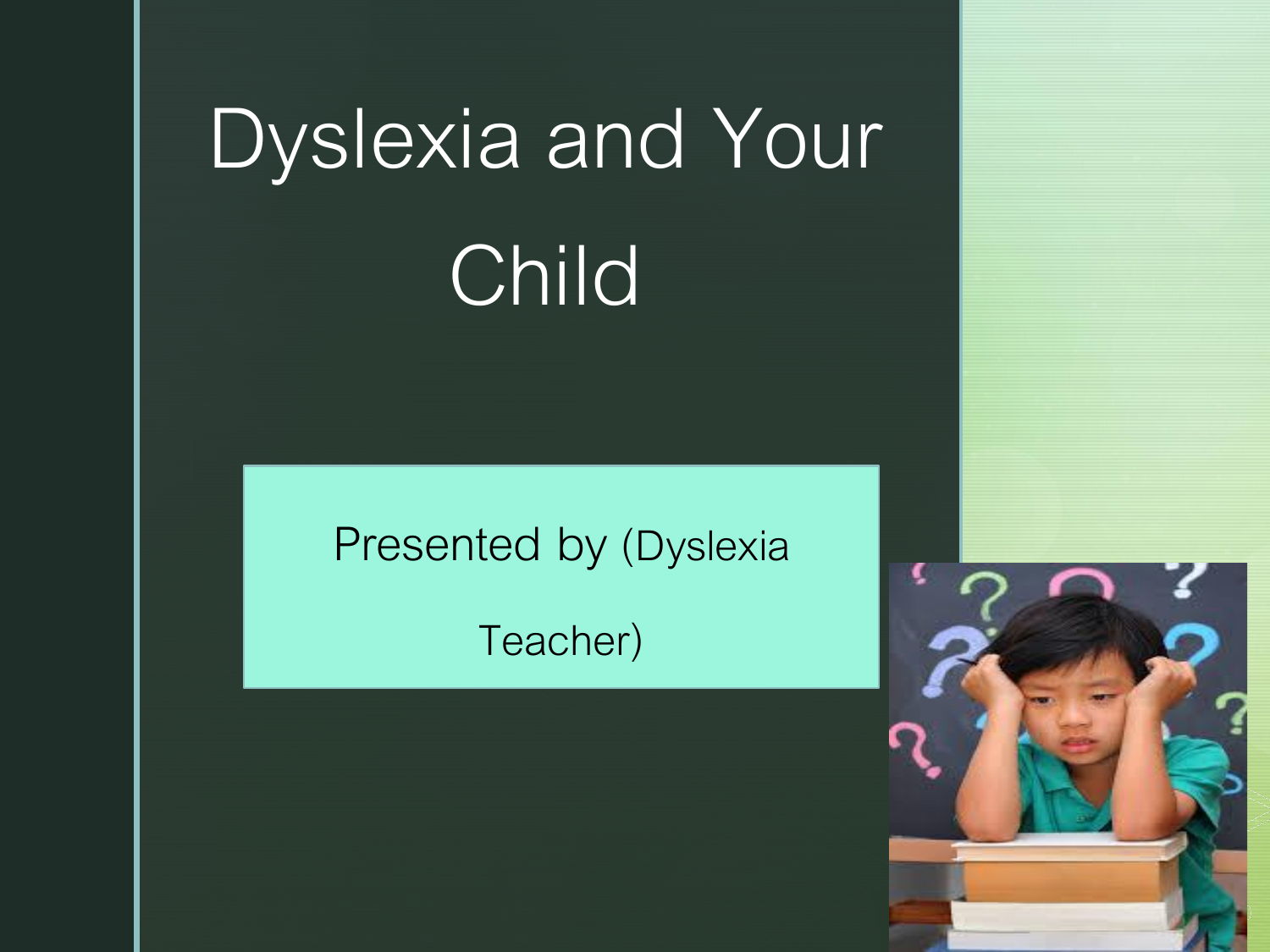# Dyslexia and Your Child

Presented by (Dyslexia

z

Teacher)

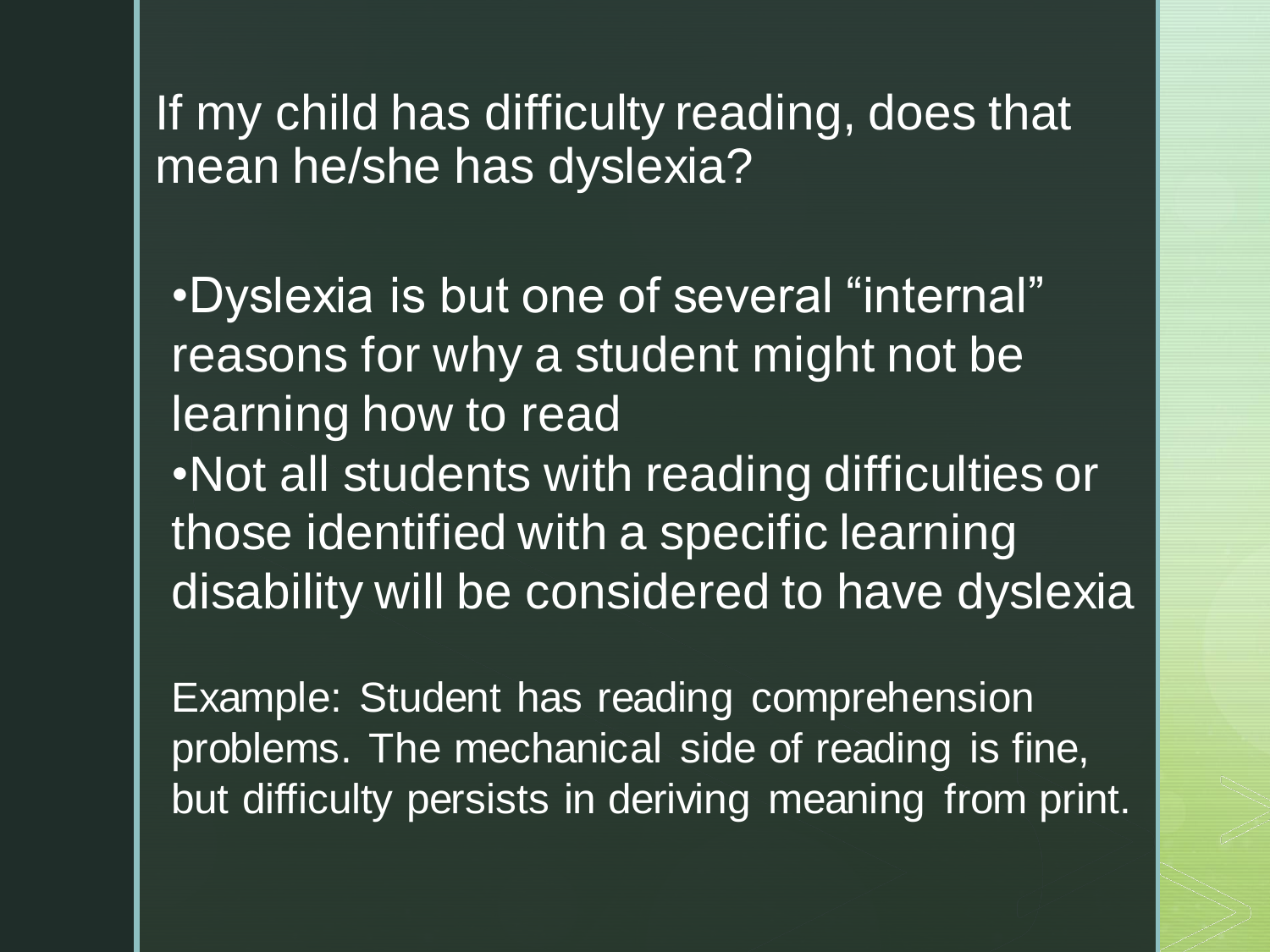If my child has difficulty reading, does that mean he/she has dyslexia?

•Dyslexia is but one of several "internal" reasons for why a student might not be learning how to read •Not all students with reading difficulties or those identified with a specific learning disability will be considered to have dyslexia

Example: Student has reading comprehension problems. The mechanical side of reading is fine, but difficulty persists in deriving meaning from print.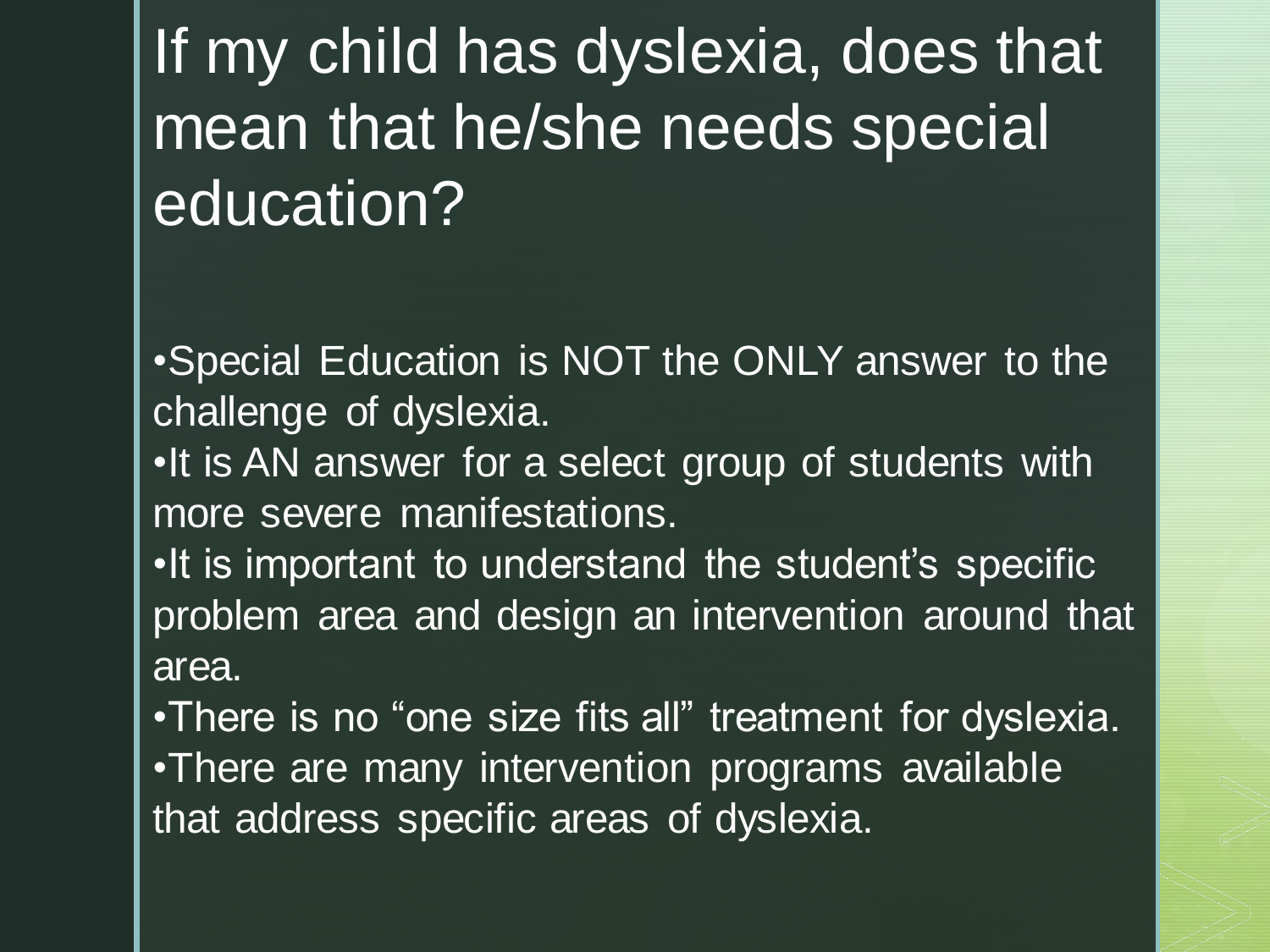If my child has dyslexia, does that mean that he/she needs special education?

•Special Education is NOT the ONLY answer to the challenge of dyslexia.

•It is AN answer for a select group of students with more severe manifestations.

•It is important to understand the student's specific problem area and design an intervention around that area.

•There is no "one size fits all" treatment for dyslexia. •There are many intervention programs available that address specific areas of dyslexia.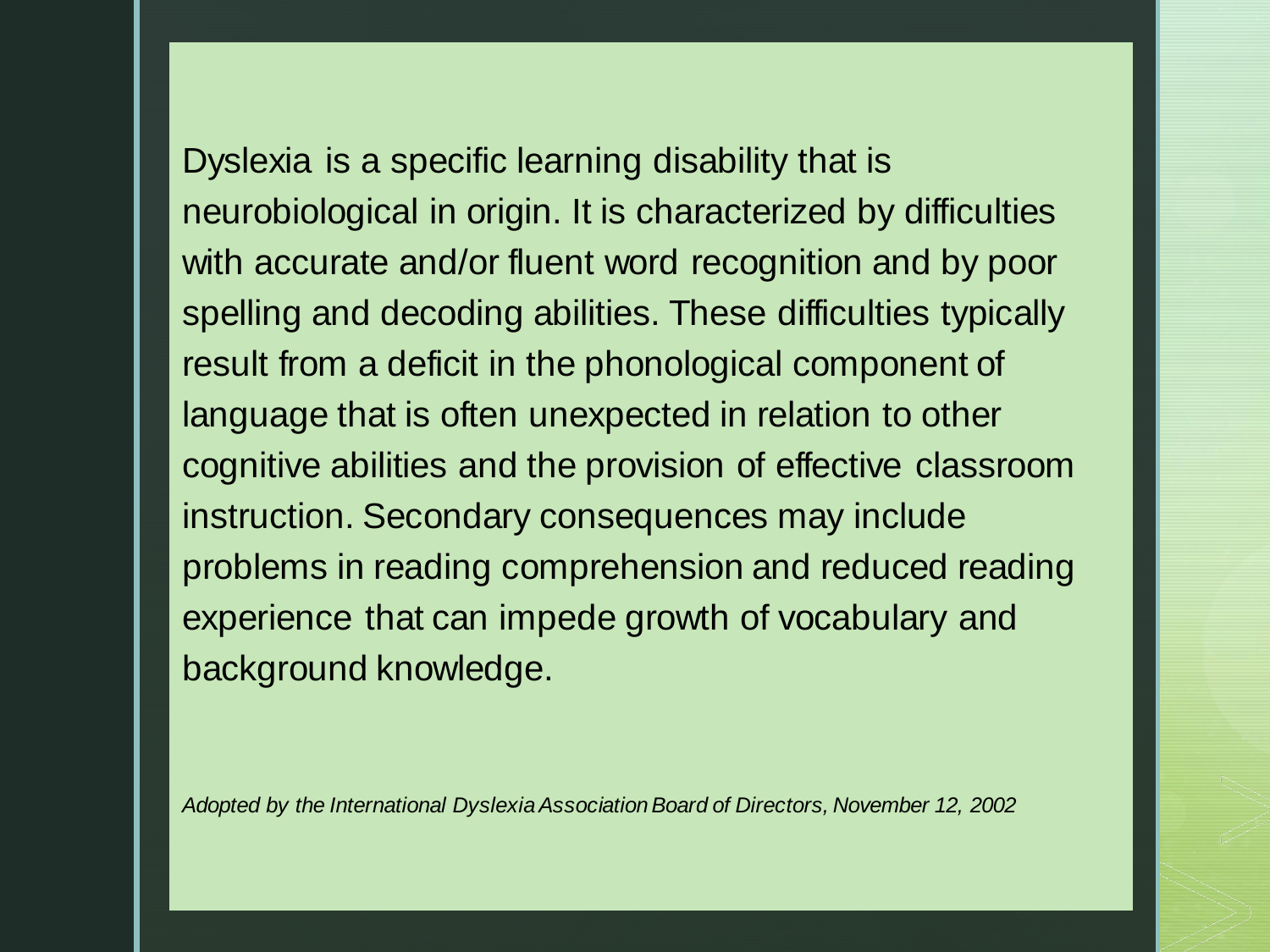Dyslexia is a specific learning disability that is neurobiological in origin. It is characterized by difficulties with accurate and/or fluent word recognition and by poor spelling and decoding abilities. These difficulties typically result from a deficit in the phonological component of language that is often unexpected in relation to other cognitive abilities and the provision of effective classroom instruction. Secondary consequences may include problems in reading comprehension and reduced reading experience that can impede growth of vocabulary and background knowledge.

*Adopted by the International Dyslexia Association Board of Directors, November 12, 2002*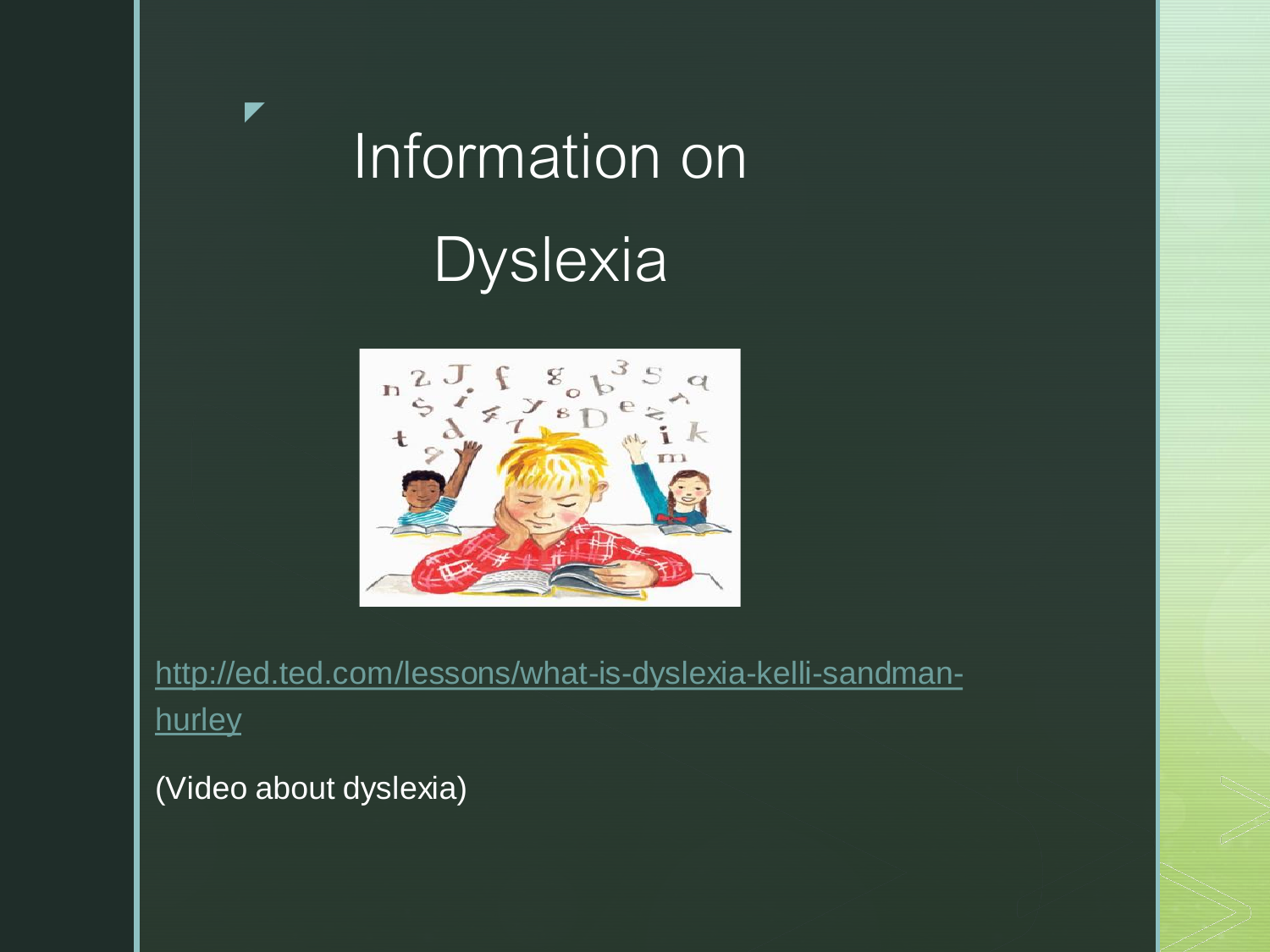# Information on **Dyslexia**



[http://ed.ted.com/lessons/what-is-dyslexia-kelli-sandman](http://ed.ted.com/lessons/what-is-dyslexia-kelli-sandman-hurley)hurley

(Video about dyslexia)

z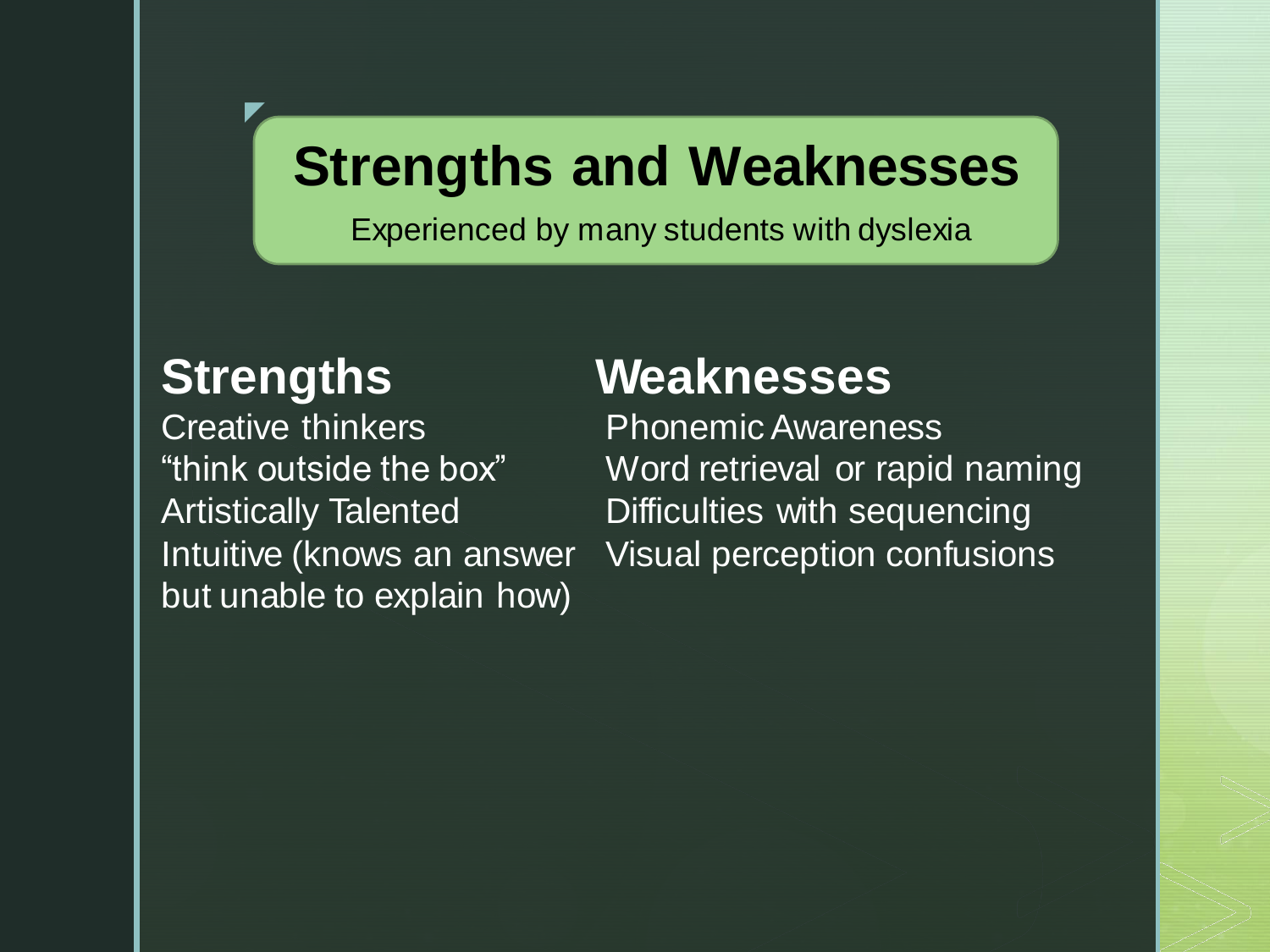### **Strengths and Weaknesses**

Experienced by many students with dyslexia

z

Creative thinkers **Phonemic Awareness** but unable to explain how)

#### **Strengths Weaknesses**

"think outside the box" Word retrieval or rapid naming Artistically Talented Difficulties with sequencing Intuitive (knows an answer Visual perception confusions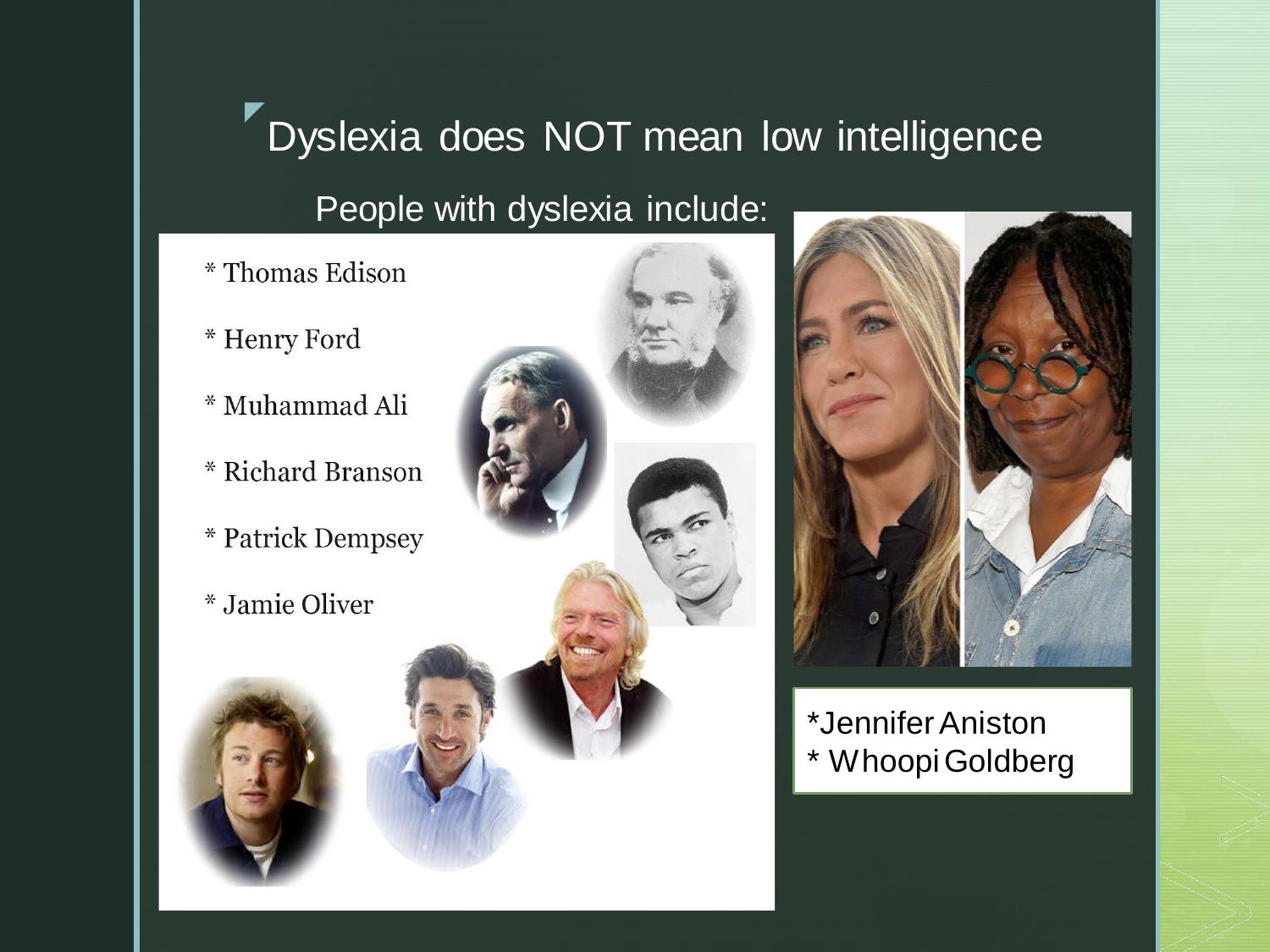#### z Dyslexia does NOT mean low intelligence

People with dyslexia include:

- \* Thomas Edison
- \* Henry Ford
- \* Muhammad Ali
- \* Richard Branson
- \* Patrick Dempsey
- *\** Jamie Oliver



\*Jennifer Aniston \* Whoopi Goldberg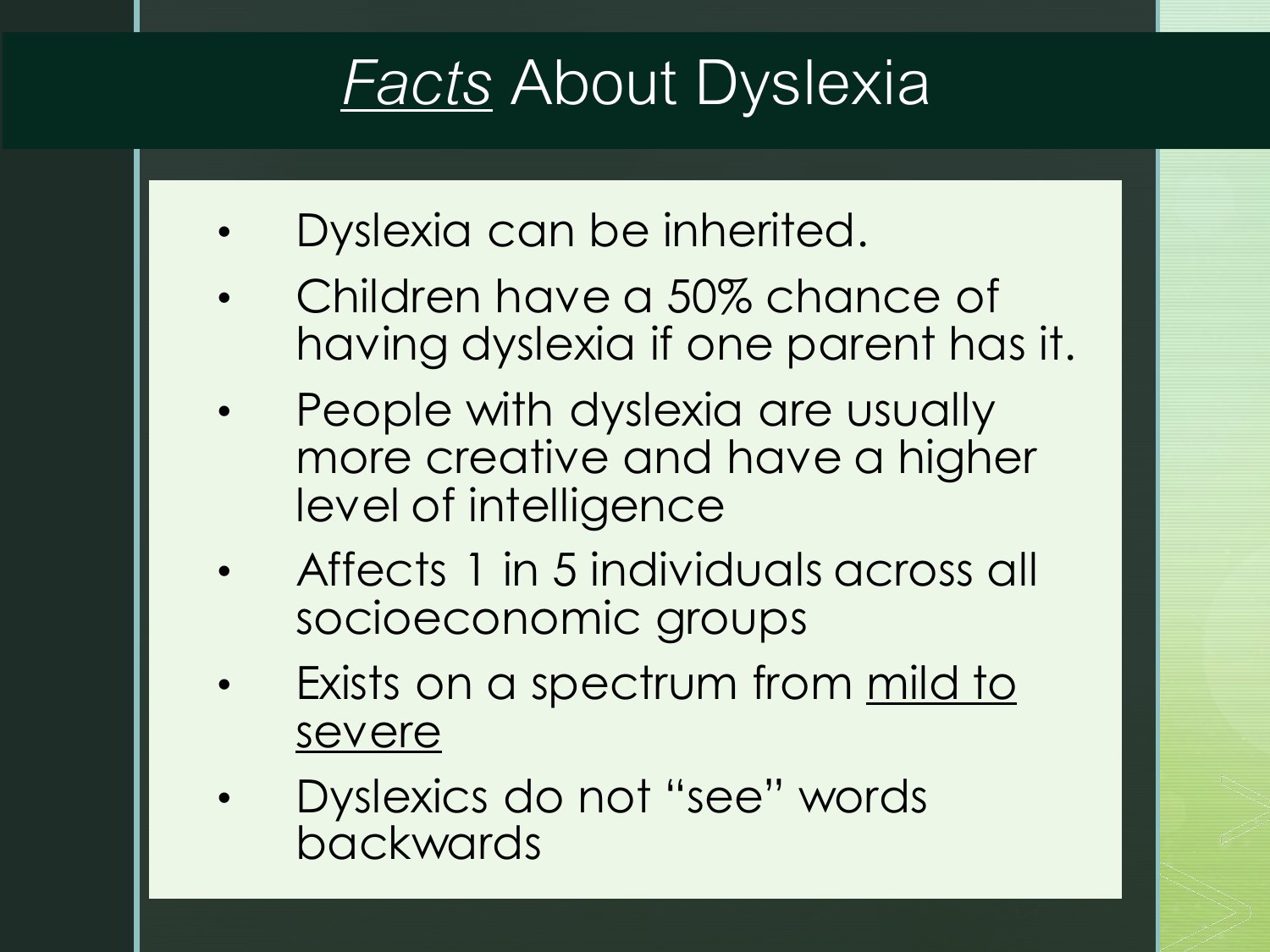# *Facts* About Dyslexia

- Dyslexia can be inherited.
- Children have a 50% chance of having dyslexia if one parent has it.
- People with dyslexia are usually more creative and have a higher level of intelligence
- Affects 1 in 5 individuals across all socioeconomic groups
- Exists on a spectrum from mild to severe
- Dyslexics do not "see" words backwards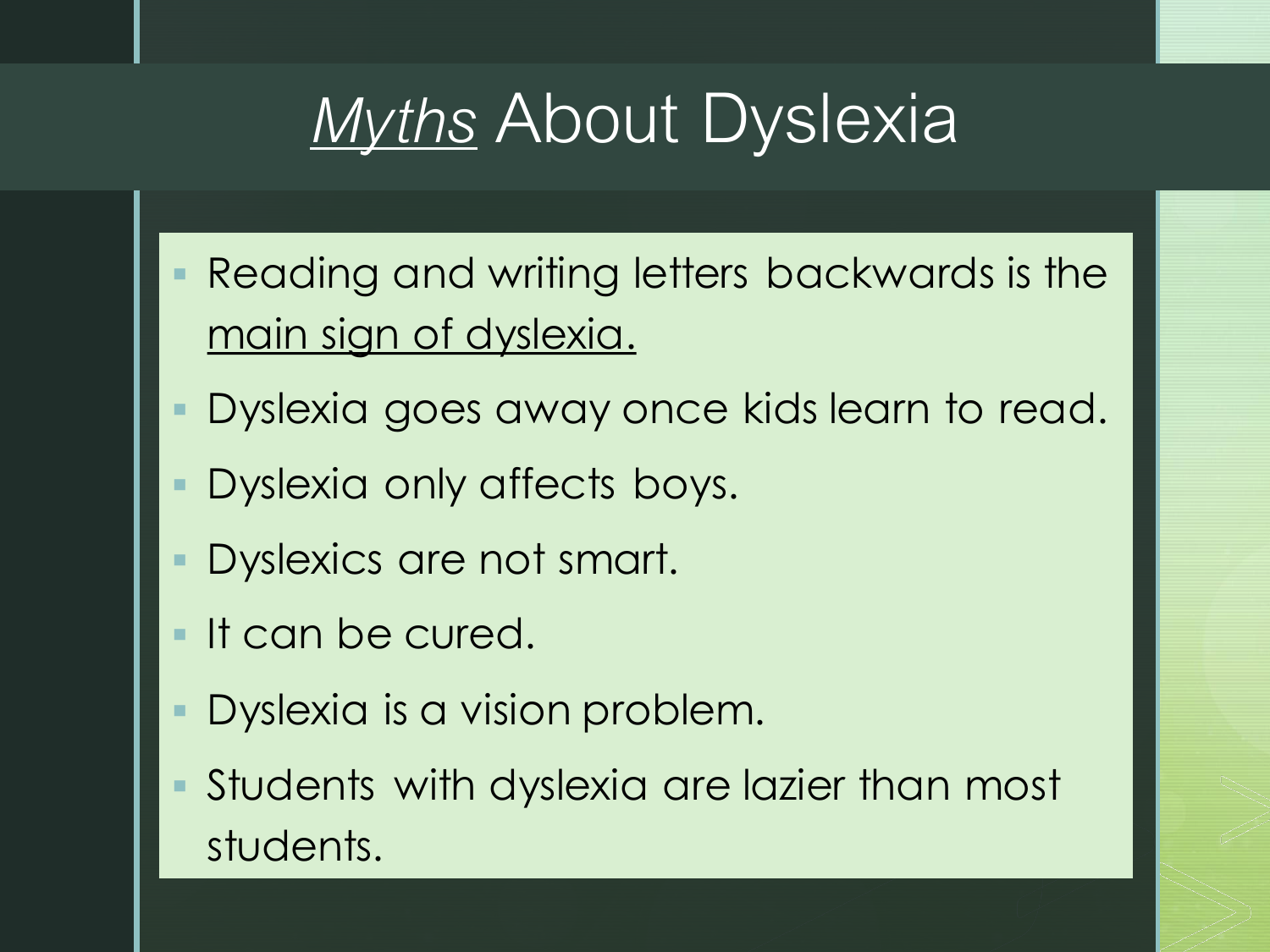# *Myths* About Dyslexia

- Reading and writing letters backwards is the main sign of dyslexia.
- Dyslexia goes away once kids learn to read.
- Dyslexia only affects boys.
- Dyslexics are not smart.
- **If can be cured.**
- Dyslexia is a vision problem.
- Students with dyslexia are lazier than most students.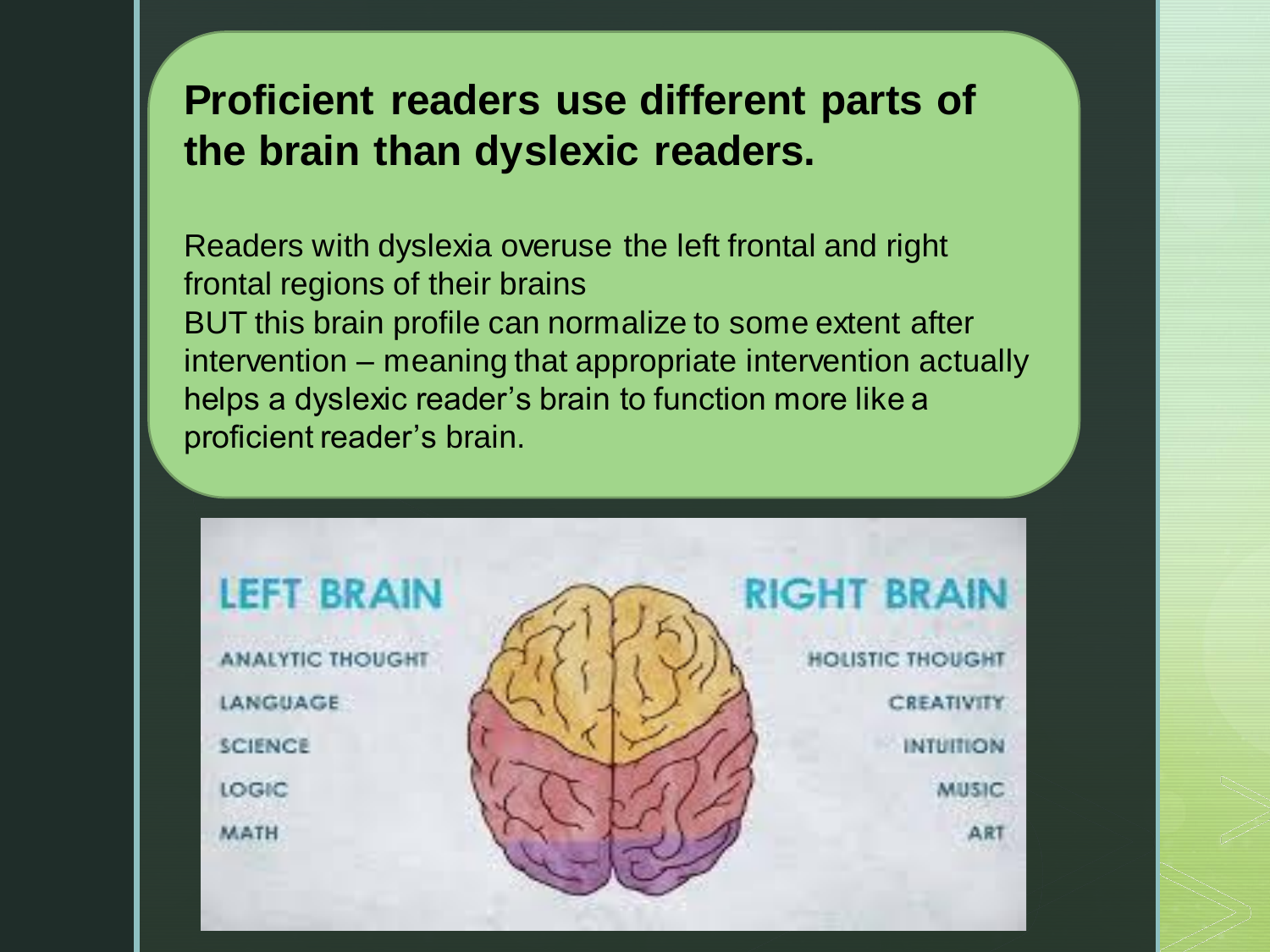#### **Proficient readers use different parts of the brain than dyslexic readers.**

Readers with dyslexia overuse the left frontal and right frontal regions of their brains BUT this brain profile can normalize to some extent after intervention – meaning that appropriate intervention actually helps a dyslexic reader's brain to function more like a proficient reader's brain.

### **LEFT BRAIN**

**ANALYTIC THOUGHT** LANGUAGE **SCIENCE** LOGIC MATH



#### **RIGHT BRAIN**

**HOLISTIC THOUGHT** CREATIVITY **INTUITION** MUSIC A<sub>R</sub>1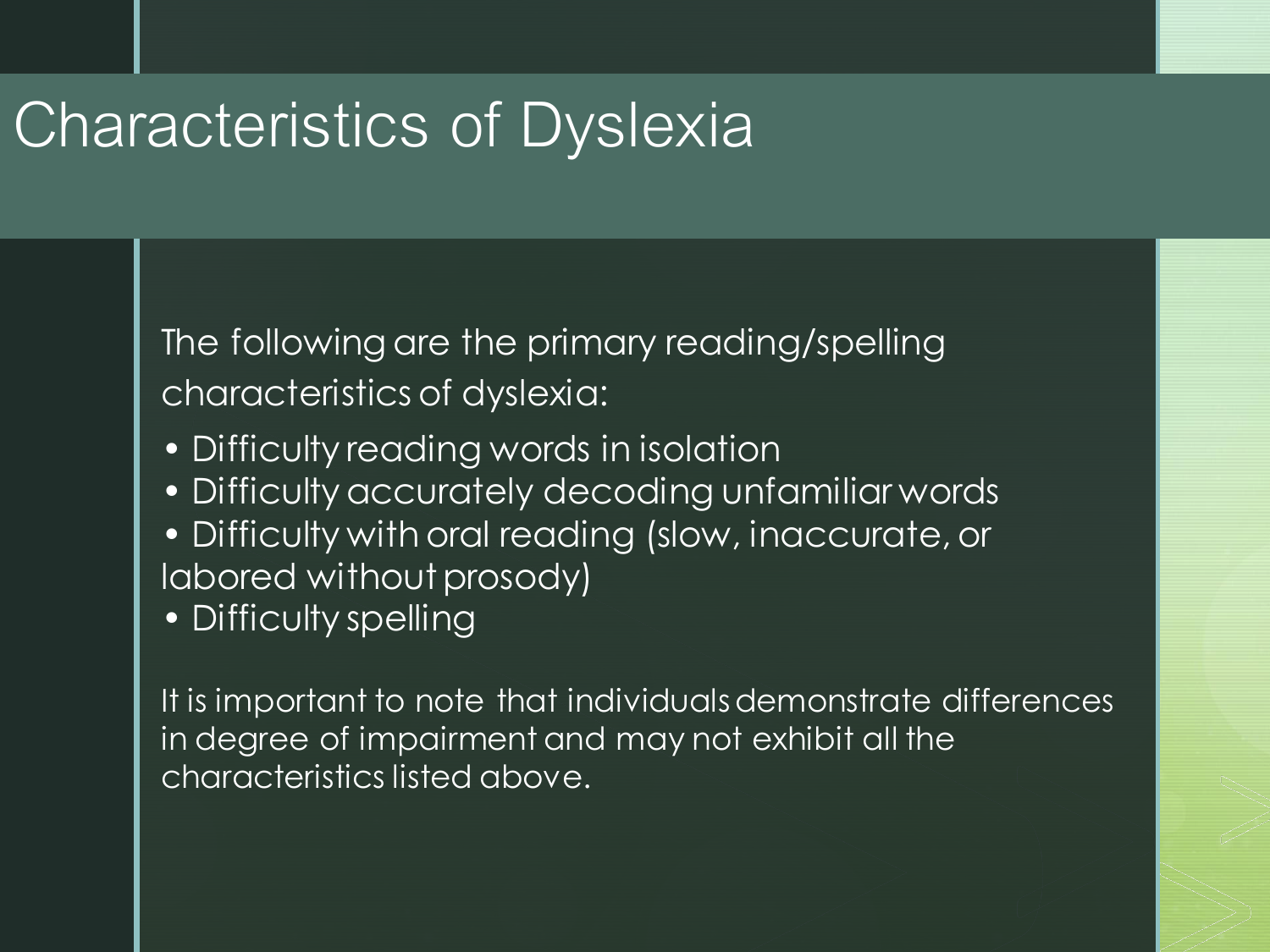## Characteristics of Dyslexia

The following are the primary reading/spelling characteristics of dyslexia:

- Difficulty reading words in isolation
- Difficulty accurately decoding unfamiliar words
- Difficulty with oral reading (slow, inaccurate, or labored without prosody)
- Difficulty spelling

It is important to note that individuals demonstrate differences in degree of impairment and may not exhibit all the characteristics listed above.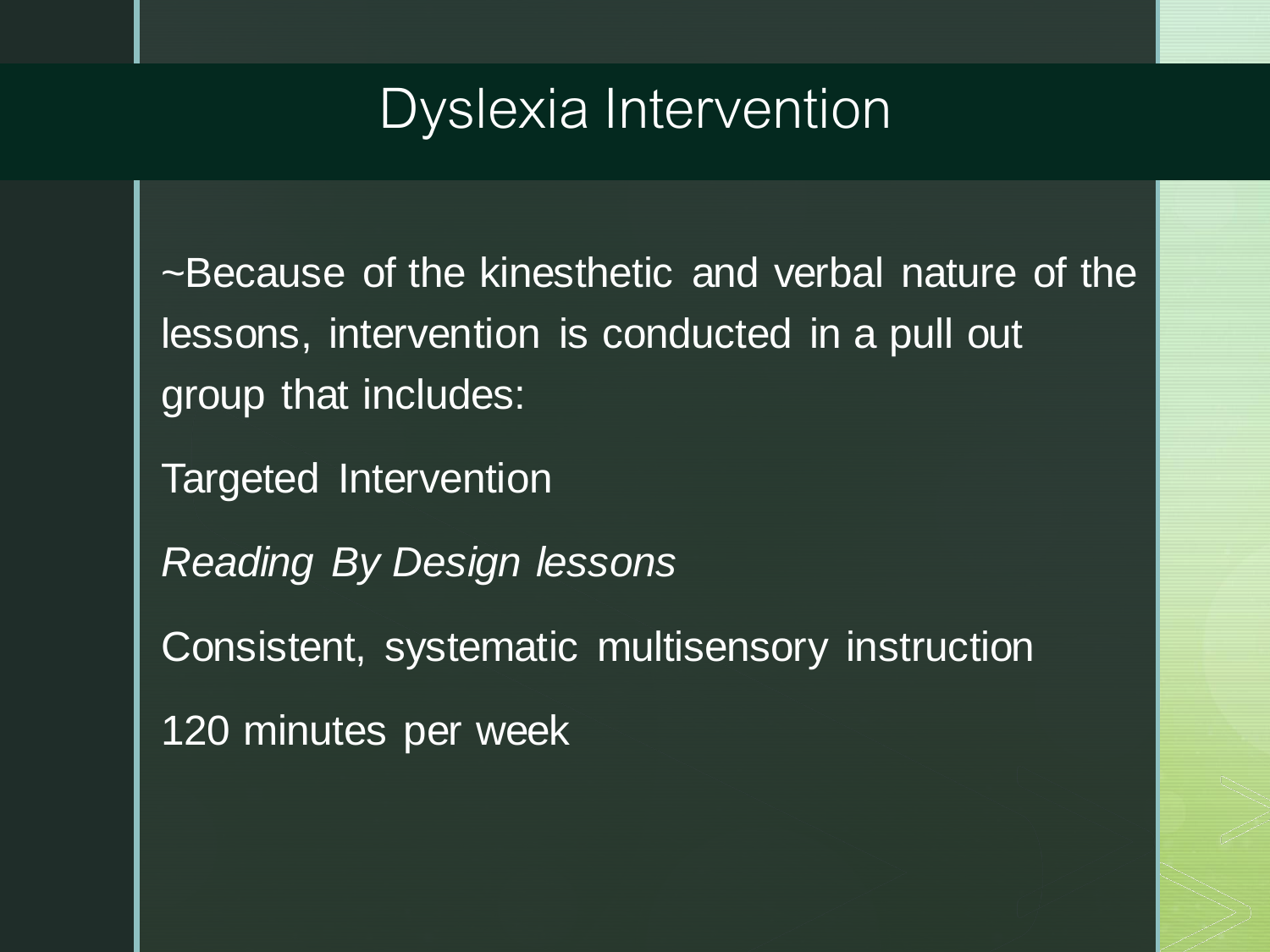### Dyslexia Intervention

~Because of the kinesthetic and verbal nature of the lessons, intervention is conducted in a pull out group that includes:

Targeted Intervention

*Reading By Design lessons*

Consistent, systematic multisensory instruction

120 minutes per week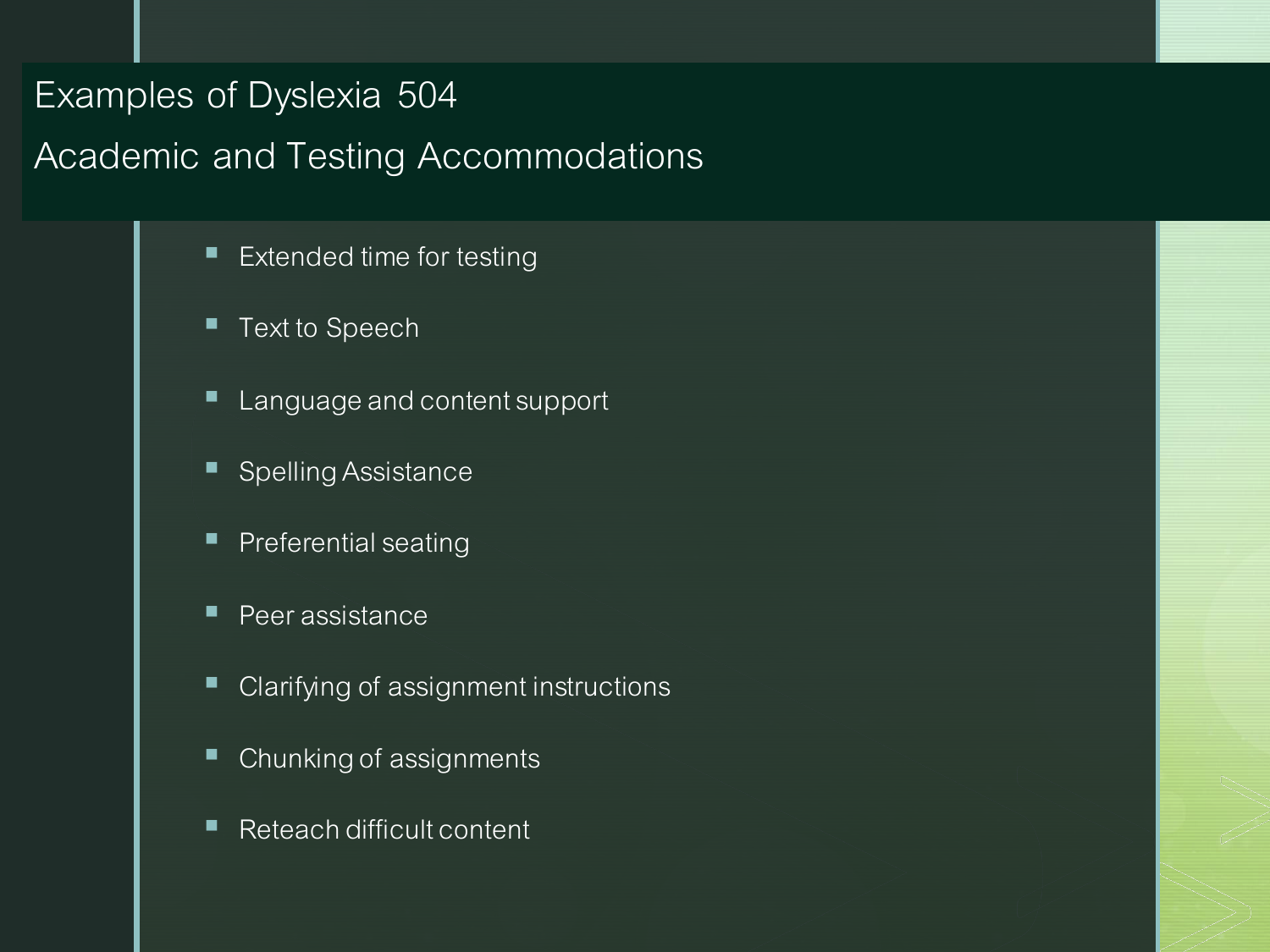### Examples of Dyslexia 504

#### Academic and Testing Accommodations

- Extended time for testing
- Text to Speech
- Language and content support
- Spelling Assistance
- **Preferential seating**
- Peer assistance
- Clarifying of assignment instructions
- Chunking of assignments
- Reteach difficult content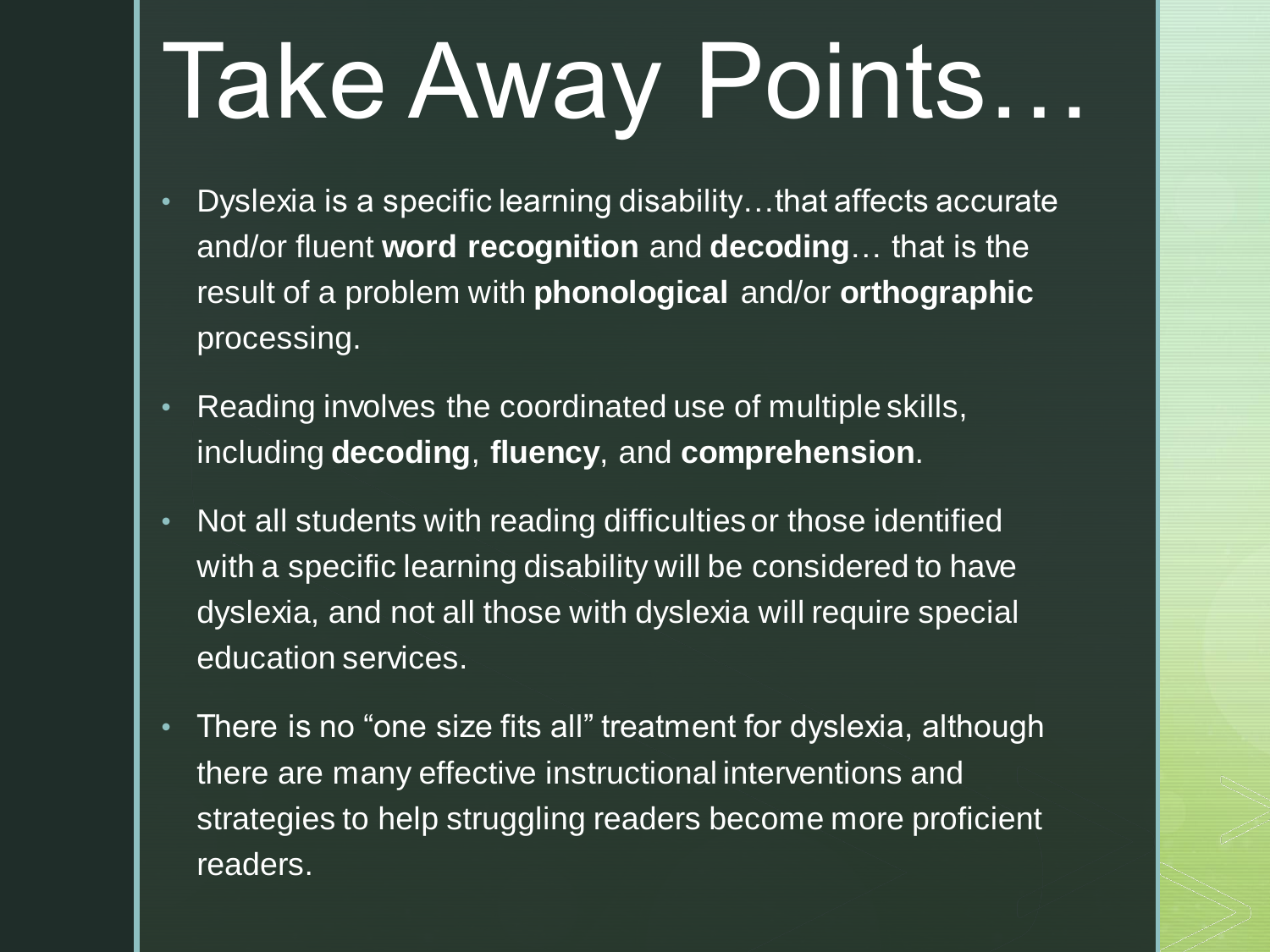# Take Away Points…

- Dyslexia is a specific learning disability…that affects accurate and/or fluent **word recognition** and **decoding**… that is the result of a problem with **phonological** and/or **orthographic** processing.
- Reading involves the coordinated use of multiple skills, including **decoding**, **fluency**, and **comprehension**.
- Not all students with reading difficulties or those identified with a specific learning disability will be considered to have dyslexia, and not all those with dyslexia will require special education services.
- There is no "one size fits all" treatment for dyslexia, although there are many effective instructional interventions and strategies to help struggling readers become more proficient readers.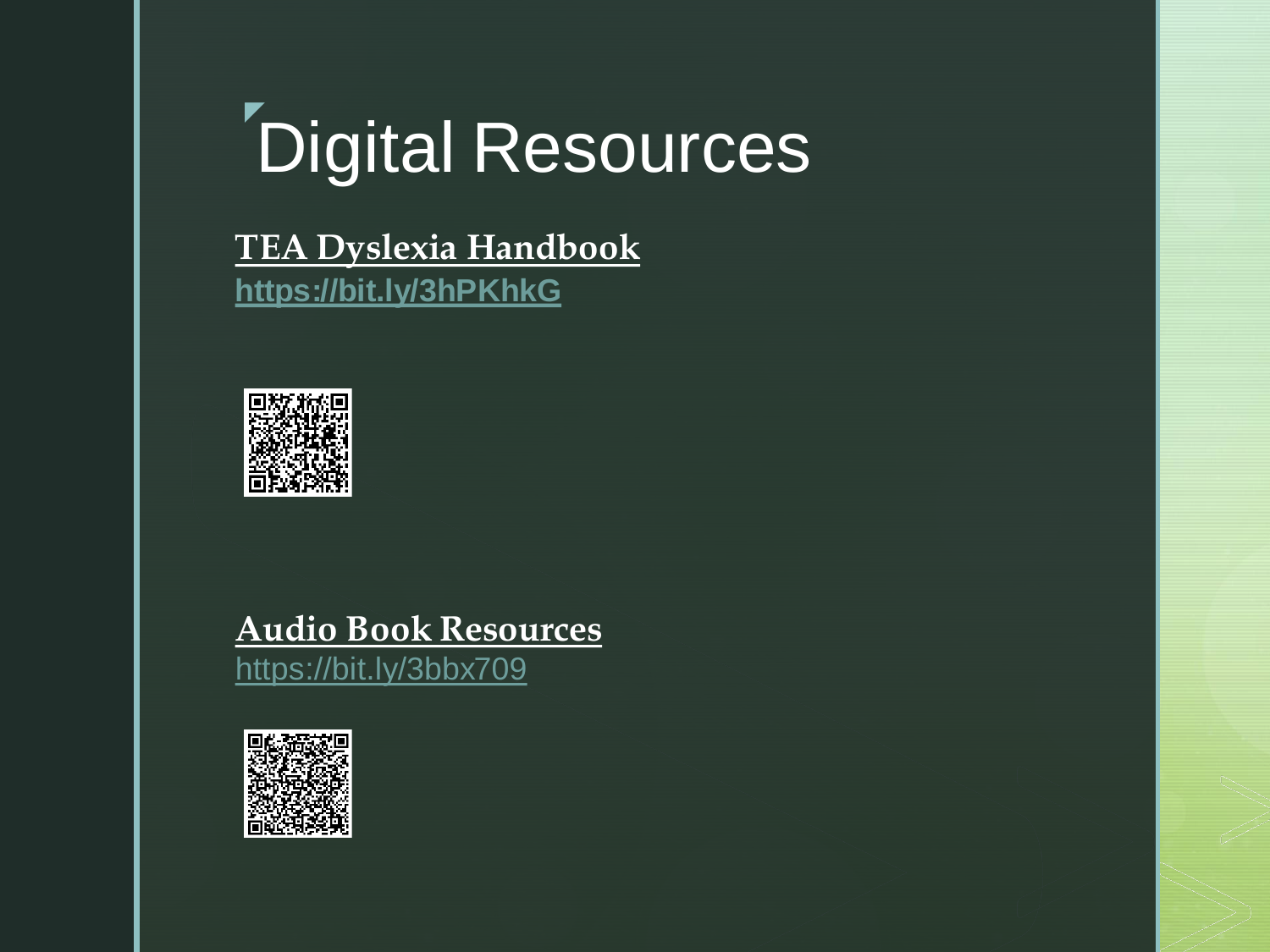#### z Digital Resources

**TEA Dyslexia Handbook <https://bit.ly/3hPKhkG>**



#### **Audio Book Resources**

<https://bit.ly/3bbx709>